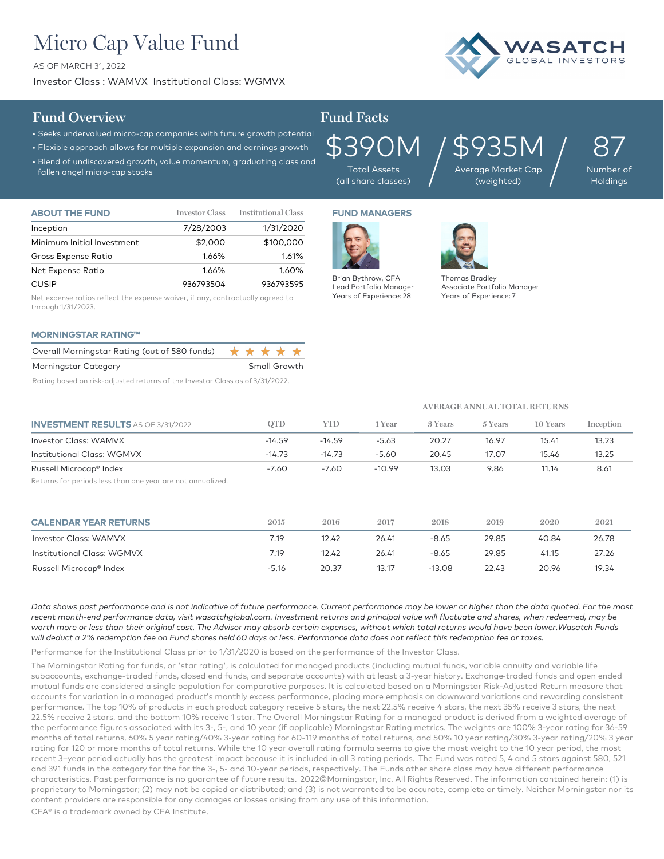# Micro Cap Value Fund

AS OF MARCH 31, 2022

Investor Class : WAMVX Institutional Class: WGMVX



### **Fund Overview Fund Facts**

#### • Seeks undervalued micro-cap companies with future growth potential

- Flexible approach allows for multiple expansion and earnings growth
- Blend of undiscovered growth, value momentum, graduating class and
- fallen angel micro-cap stocks



Total Assets (all share classes) \$935M Average Market Cap  $935$ M<br>age Market Cap<br>(weighted)

87 Number of **Holdings** 

| <b>ABOUT THE FUND</b>      | <b>Investor Class</b> | <b>Institutional Class</b> |
|----------------------------|-----------------------|----------------------------|
| Inception                  | 7/28/2003             | 1/31/2020                  |
| Minimum Initial Investment | \$2,000               | \$100,000                  |
| Gross Expense Ratio        | 1.66%                 | 1.61%                      |
| Net Expense Ratio          | 1.66%                 | 1.60%                      |
| <b>CUSIP</b>               | 936793504             | 936793595                  |

Net expense ratios reflect the expense waiver, if any, contractually agreed to through 1/31/2023.

#### MORNINGSTAR RATING™

| Overall Morningstar Rating (out of 580 funds) $\star \star \star \star \star$ |  |              |  |
|-------------------------------------------------------------------------------|--|--------------|--|
| Morningstar Category                                                          |  | Small Growth |  |
|                                                                               |  |              |  |

Rating based on risk-adjusted returns of the Investor Class as of 3/31/2022.

## FUND MANAGERS



 $\mathbb{L}$ 



Thomas Bradley Associate Portfolio Manager Years of Experience: 7

|                                           |          |          | AVERAGE ANNUAL TOTAL RETURNS |         |         |          |           |  |
|-------------------------------------------|----------|----------|------------------------------|---------|---------|----------|-----------|--|
| <b>INVESTMENT RESULTS</b> AS OF 3/31/2022 | QTD      | YTD      | Year                         | 3 Years | 5 Years | 10 Years | Inception |  |
| Investor Class: WAMVX                     | $-14.59$ | $-14.59$ | $-5.63$                      | 20.27   | 16.97   | 15.41    | 13.23     |  |
| <b>Institutional Class: WGMVX</b>         | $-14.73$ | $-14.73$ | $-5.60$                      | 20.45   | 17.07   | 15.46    | 13.25     |  |
| Russell Microcap® Index                   | $-7.60$  | $-7.60$  | $-10.99$                     | 13.03   | 9.86    | 11.14    | 8.61      |  |

Returns for periods less than one year are not annualized.

| <b>CALENDAR YEAR RETURNS</b>      | 2015    | 2016  | 2017  | 2018     | 2019  | 2020  | 2021  |
|-----------------------------------|---------|-------|-------|----------|-------|-------|-------|
| Investor Class: WAMVX             | 7.19    | 12.42 | 26.41 | -8.65    | 29.85 | 40.84 | 26.78 |
| <b>Institutional Class: WGMVX</b> | 7.19    | 12.42 | 26.41 | -8.65    | 29.85 | 41.15 | 27.26 |
| Russell Microcap® Index           | $-5.16$ | 20.37 | 13.17 | $-13.08$ | 22.43 | 20.96 | 19.34 |

*Data shows past performance and is not indicative of future performance. Current performance may be lower or higher than the data quoted. For the most*  recent month-end performance data, visit wasatchglobal.com. Investment returns and principal value will fluctuate and shares, when redeemed, may be worth more or less than their original cost. The Advisor may absorb certain expenses, without which total returns would have been lower.Wasatch Funds *will deduct a 2% redemption fee on Fund shares held 60 days or less. Performance data does not reflect this redemption fee or taxes.*

Performance for the Institutional Class prior to 1/31/2020 is based on the performance of the Investor Class.

The Morningstar Rating for funds, or 'star rating', is calculated for managed products (including mutual funds, variable annuity and variable life subaccounts, exchange-traded funds, closed end funds, and separate accounts) with at least a 3-year history. Exchange–traded funds and open ended mutual funds are considered a single population for comparative purposes. It is calculated based on a Morningstar Risk-Adjusted Return measure that accounts for variation in a managed product's monthly excess performance, placing more emphasis on downward variations and rewarding consistent performance. The top 10% of products in each product category receive 5 stars, the next 22.5% receive 4 stars, the next 35% receive 3 stars, the next 22.5% receive 2 stars, and the bottom 10% receive 1 star. The Overall Morningstar Rating for a managed product is derived from a weighted average of the performance figures associated with its 3-, 5-, and 10 year (if applicable) Morningstar Rating metrics. The weights are 100% 3-year rating for 36-59 months of total returns, 60% 5 year rating/40% 3-year rating for 60-119 months of total returns, and 50% 10 year rating/30% 3-year rating/20% 3 year rating for 120 or more months of total returns. While the 10 year overall rating formula seems to give the most weight to the 10 year period, the most recent 3–year period actually has the greatest impact because it is included in all 3 rating periods. The Fund was rated 5, 4 and 5 stars against 580, 521 and 391 funds in the category for the for the 3-, 5- and 10-year periods, respectively. The Funds other share class may have different performance characteristics. Past performance is no guarantee of future results. 2022©Morningstar, Inc. All Rights Reserved. The information contained herein: (1) is proprietary to Morningstar; (2) may not be copied or distributed; and (3) is not warranted to be accurate, complete or timely. Neither Morningstar nor its content providers are responsible for any damages or losses arising from any use of this information.

CFA® is a trademark owned by CFA Institute.